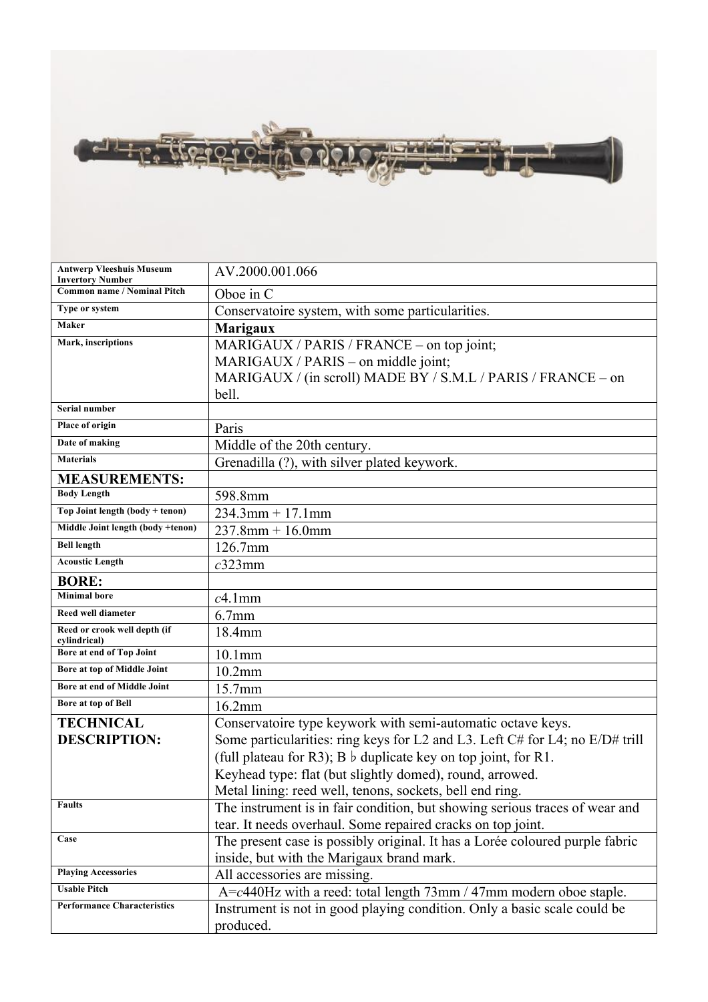

| <b>Antwerp Vleeshuis Museum</b><br><b>Invertory Number</b> | AV.2000.001.066                                                              |
|------------------------------------------------------------|------------------------------------------------------------------------------|
| <b>Common name / Nominal Pitch</b>                         | Oboe in C                                                                    |
| Type or system                                             | Conservatoire system, with some particularities.                             |
| Maker                                                      | <b>Marigaux</b>                                                              |
| Mark, inscriptions                                         | MARIGAUX / PARIS / FRANCE – on top joint;                                    |
|                                                            | MARIGAUX / PARIS – on middle joint;                                          |
|                                                            | MARIGAUX / (in scroll) MADE BY / S.M.L / PARIS / FRANCE - on                 |
|                                                            | bell.                                                                        |
| Serial number                                              |                                                                              |
| Place of origin                                            | Paris                                                                        |
| Date of making                                             | Middle of the 20th century.                                                  |
| <b>Materials</b>                                           | Grenadilla (?), with silver plated keywork.                                  |
| <b>MEASUREMENTS:</b>                                       |                                                                              |
| <b>Body Length</b>                                         | 598.8mm                                                                      |
| Top Joint length (body + tenon)                            | $234.3$ mm + 17.1mm                                                          |
| Middle Joint length (body +tenon)                          | $237.8$ mm + 16.0mm                                                          |
| <b>Bell length</b>                                         | 126.7mm                                                                      |
| <b>Acoustic Length</b>                                     | $c323$ mm                                                                    |
| <b>BORE:</b>                                               |                                                                              |
| <b>Minimal</b> bore                                        | $c4.1$ mm                                                                    |
| Reed well diameter                                         | $6.7$ mm                                                                     |
| Reed or crook well depth (if<br>cylindrical)               | 18.4mm                                                                       |
| Bore at end of Top Joint                                   | $10.1$ mm                                                                    |
| Bore at top of Middle Joint                                | $10.2$ mm                                                                    |
| Bore at end of Middle Joint                                | 15.7mm                                                                       |
| Bore at top of Bell                                        | 16.2mm                                                                       |
| <b>TECHNICAL</b>                                           | Conservatoire type keywork with semi-automatic octave keys.                  |
| <b>DESCRIPTION:</b>                                        | Some particularities: ring keys for L2 and L3. Left C# for L4; no E/D# trill |
|                                                            | (full plateau for R3); B $\flat$ duplicate key on top joint, for R1.         |
|                                                            | Keyhead type: flat (but slightly domed), round, arrowed.                     |
|                                                            | Metal lining: reed well, tenons, sockets, bell end ring.                     |
| <b>Faults</b>                                              | The instrument is in fair condition, but showing serious traces of wear and  |
|                                                            | tear. It needs overhaul. Some repaired cracks on top joint.                  |
| Case                                                       | The present case is possibly original. It has a Lorée coloured purple fabric |
|                                                            | inside, but with the Marigaux brand mark.                                    |
| <b>Playing Accessories</b>                                 | All accessories are missing.                                                 |
| <b>Usable Pitch</b>                                        | $A = c440$ Hz with a reed: total length $73$ mm / 47mm modern oboe staple.   |
| <b>Performance Characteristics</b>                         | Instrument is not in good playing condition. Only a basic scale could be     |
|                                                            | produced.                                                                    |